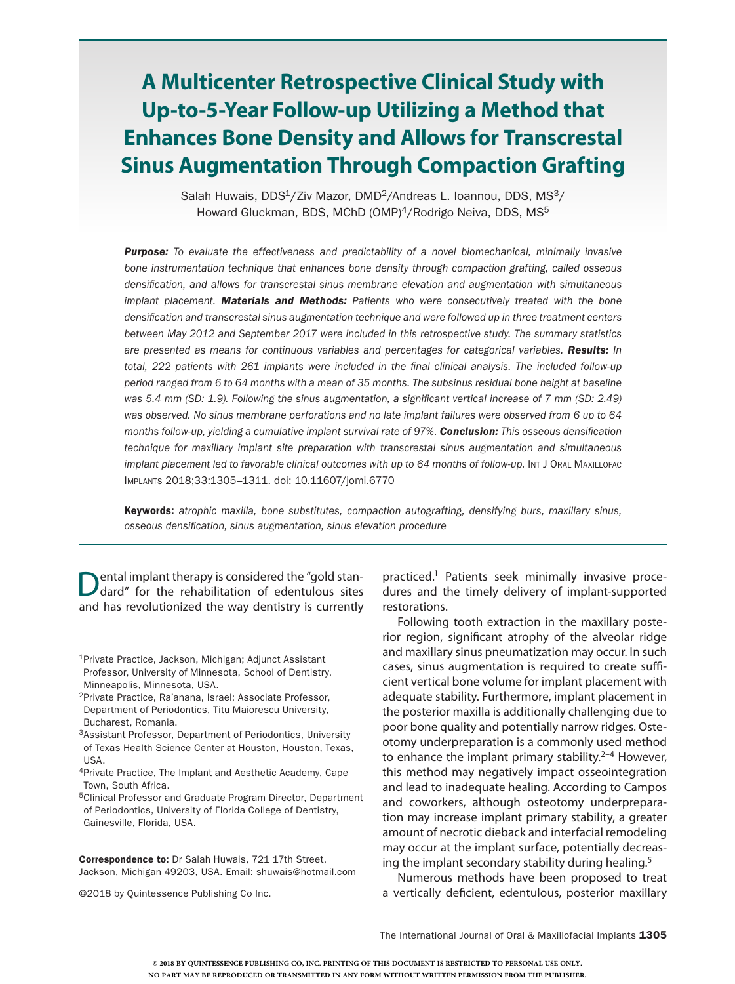# **A Multicenter Retrospective Clinical Study with Up-to-5-Year Follow-up Utilizing a Method that Enhances Bone Density and Allows for Transcrestal Sinus Augmentation Through Compaction Grafting**

Salah Huwais, DDS<sup>1</sup>/Ziv Mazor, DMD<sup>2</sup>/Andreas L. Ioannou, DDS, MS<sup>3</sup>/ Howard Gluckman, BDS, MChD (OMP)<sup>4</sup>/Rodrigo Neiva, DDS, MS<sup>5</sup>

*Purpose: To evaluate the effectiveness and predictability of a novel biomechanical, minimally invasive bone instrumentation technique that enhances bone density through compaction grafting, called osseous densification, and allows for transcrestal sinus membrane elevation and augmentation with simultaneous implant placement. Materials and Methods: Patients who were consecutively treated with the bone densification and transcrestal sinus augmentation technique and were followed up in three treatment centers between May 2012 and September 2017 were included in this retrospective study. The summary statistics are presented as means for continuous variables and percentages for categorical variables. Results: In total, 222 patients with 261 implants were included in the final clinical analysis. The included follow-up period ranged from 6 to 64 months with a mean of 35 months. The subsinus residual bone height at baseline*  was 5.4 mm (SD: 1.9). Following the sinus augmentation, a significant vertical increase of 7 mm (SD: 2.49) *was observed. No sinus membrane perforations and no late implant failures were observed from 6 up to 64 months follow-up, yielding a cumulative implant survival rate of 97%. Conclusion: This osseous densification technique for maxillary implant site preparation with transcrestal sinus augmentation and simultaneous implant placement led to favorable clinical outcomes with up to 64 months of follow-up.* Int J Oral Maxillorac Implants 2018;33:1305–1311. doi: 10.11607/jomi.6770

Keywords: *atrophic maxilla, bone substitutes, compaction autografting, densifying burs, maxillary sinus, osseous densification, sinus augmentation, sinus elevation procedure*

Dental implant therapy is considered the "gold stan-<br>dard" for the rehabilitation of edentulous sites and has revolutionized the way dentistry is currently

Correspondence to: Dr Salah Huwais, 721 17th Street, Jackson, Michigan 49203, USA. Email: shuwais@hotmail.com

©2018 by Quintessence Publishing Co Inc.

practiced.1 Patients seek minimally invasive procedures and the timely delivery of implant-supported restorations.

Following tooth extraction in the maxillary posterior region, significant atrophy of the alveolar ridge and maxillary sinus pneumatization may occur. In such cases, sinus augmentation is required to create sufficient vertical bone volume for implant placement with adequate stability. Furthermore, implant placement in the posterior maxilla is additionally challenging due to poor bone quality and potentially narrow ridges. Osteotomy underpreparation is a commonly used method to enhance the implant primary stability.<sup>2–4</sup> However, this method may negatively impact osseointegration and lead to inadequate healing. According to Campos and coworkers, although osteotomy underpreparation may increase implant primary stability, a greater amount of necrotic dieback and interfacial remodeling may occur at the implant surface, potentially decreasing the implant secondary stability during healing.5

Numerous methods have been proposed to treat a vertically deficient, edentulous, posterior maxillary

The International Journal of Oral & Maxillofacial Implants 1305

<sup>1</sup>Private Practice, Jackson, Michigan; Adjunct Assistant Professor, University of Minnesota, School of Dentistry, Minneapolis, Minnesota, USA.

<sup>2</sup>Private Practice, Ra'anana, Israel; Associate Professor, Department of Periodontics, Titu Maiorescu University, Bucharest, Romania.

<sup>3</sup>Assistant Professor, Department of Periodontics, University of Texas Health Science Center at Houston, Houston, Texas, USA.

<sup>4</sup>Private Practice, The Implant and Aesthetic Academy, Cape Town, South Africa.

<sup>5</sup>Clinical Professor and Graduate Program Director, Department of Periodontics, University of Florida College of Dentistry, Gainesville, Florida, USA.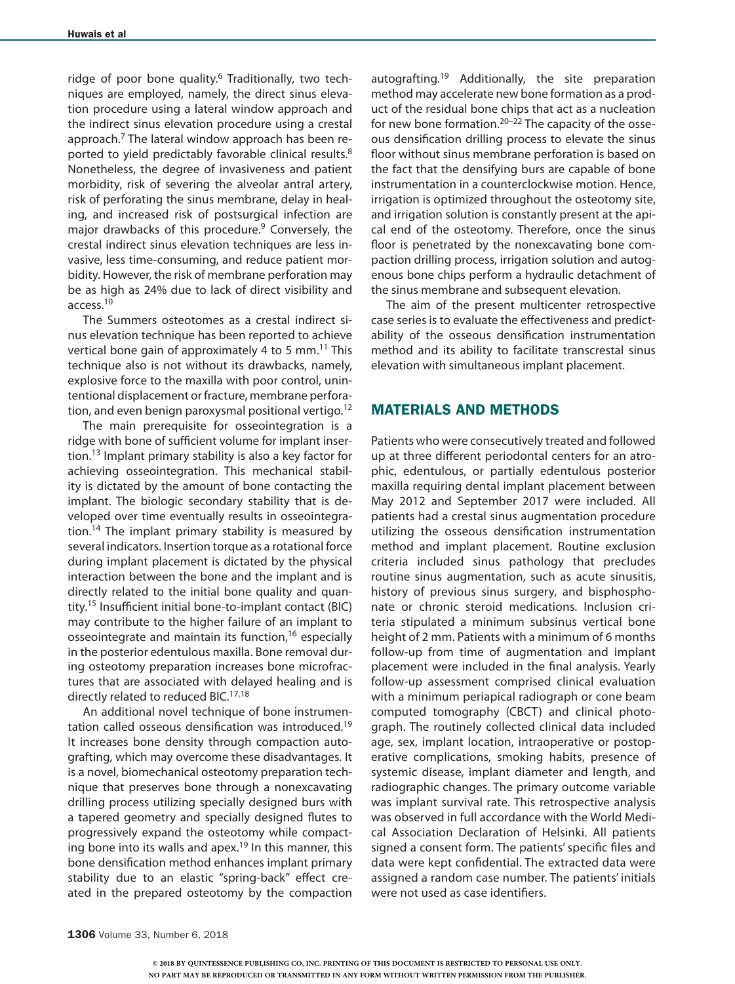ridge of poor bone quality.<sup>6</sup> Traditionally, two techniques are employed, namely, the direct sinus elevation procedure using a lateral window approach and the indirect sinus elevation procedure using a crestal approach.<sup>7</sup> The lateral window approach has been reported to yield predictably favorable clinical results.<sup>8</sup> Nonetheless, the degree of invasiveness and patient morbidity, risk of severing the alveolar antral artery, risk of perforating the sinus membrane, delay in healing, and increased risk of postsurgical infection are major drawbacks of this procedure.<sup>9</sup> Conversely, the crestal indirect sinus elevation techniques are less invasive, less time-consuming, and reduce patient morbidity. However, the risk of membrane perforation may be as high as 24% due to lack of direct visibility and access.10

The Summers osteotomes as a crestal indirect sinus elevation technique has been reported to achieve vertical bone gain of approximately 4 to 5 mm.<sup>11</sup> This technique also is not without its drawbacks, namely, explosive force to the maxilla with poor control, unintentional displacement or fracture, membrane perforation, and even benign paroxysmal positional vertigo.<sup>12</sup>

The main prerequisite for osseointegration is a ridge with bone of sufficient volume for implant insertion.13 Implant primary stability is also a key factor for achieving osseointegration. This mechanical stability is dictated by the amount of bone contacting the implant. The biologic secondary stability that is developed over time eventually results in osseointegration.<sup>14</sup> The implant primary stability is measured by several indicators. Insertion torque as a rotational force during implant placement is dictated by the physical interaction between the bone and the implant and is directly related to the initial bone quality and quantity.15 Insufficient initial bone-to-implant contact (BIC) may contribute to the higher failure of an implant to osseointegrate and maintain its function,<sup>16</sup> especially in the posterior edentulous maxilla. Bone removal during osteotomy preparation increases bone microfractures that are associated with delayed healing and is directly related to reduced BIC.<sup>17,18</sup>

An additional novel technique of bone instrumentation called osseous densification was introduced.<sup>19</sup> It increases bone density through compaction autografting, which may overcome these disadvantages. It is a novel, biomechanical osteotomy preparation technique that preserves bone through a nonexcavating drilling process utilizing specially designed burs with a tapered geometry and specially designed flutes to progressively expand the osteotomy while compacting bone into its walls and apex.<sup>19</sup> In this manner, this bone densification method enhances implant primary stability due to an elastic "spring-back" effect created in the prepared osteotomy by the compaction autografting.<sup>19</sup> Additionally, the site preparation method may accelerate new bone formation as a product of the residual bone chips that act as a nucleation for new bone formation.<sup>20–22</sup> The capacity of the osseous densification drilling process to elevate the sinus floor without sinus membrane perforation is based on the fact that the densifying burs are capable of bone instrumentation in a counterclockwise motion. Hence, irrigation is optimized throughout the osteotomy site, and irrigation solution is constantly present at the apical end of the osteotomy. Therefore, once the sinus floor is penetrated by the nonexcavating bone compaction drilling process, irrigation solution and autogenous bone chips perform a hydraulic detachment of the sinus membrane and subsequent elevation.

The aim of the present multicenter retrospective case series is to evaluate the effectiveness and predictability of the osseous densification instrumentation method and its ability to facilitate transcrestal sinus elevation with simultaneous implant placement.

## MATERIALS AND METHODS

Patients who were consecutively treated and followed up at three different periodontal centers for an atrophic, edentulous, or partially edentulous posterior maxilla requiring dental implant placement between May 2012 and September 2017 were included. All patients had a crestal sinus augmentation procedure utilizing the osseous densification instrumentation method and implant placement. Routine exclusion criteria included sinus pathology that precludes routine sinus augmentation, such as acute sinusitis, history of previous sinus surgery, and bisphosphonate or chronic steroid medications. Inclusion criteria stipulated a minimum subsinus vertical bone height of 2 mm. Patients with a minimum of 6 months follow-up from time of augmentation and implant placement were included in the final analysis. Yearly follow-up assessment comprised clinical evaluation with a minimum periapical radiograph or cone beam computed tomography (CBCT) and clinical photograph. The routinely collected clinical data included age, sex, implant location, intraoperative or postoperative complications, smoking habits, presence of systemic disease, implant diameter and length, and radiographic changes. The primary outcome variable was implant survival rate. This retrospective analysis was observed in full accordance with the World Medical Association Declaration of Helsinki. All patients signed a consent form. The patients' specific files and data were kept confidential. The extracted data were assigned a random case number. The patients' initials were not used as case identifiers.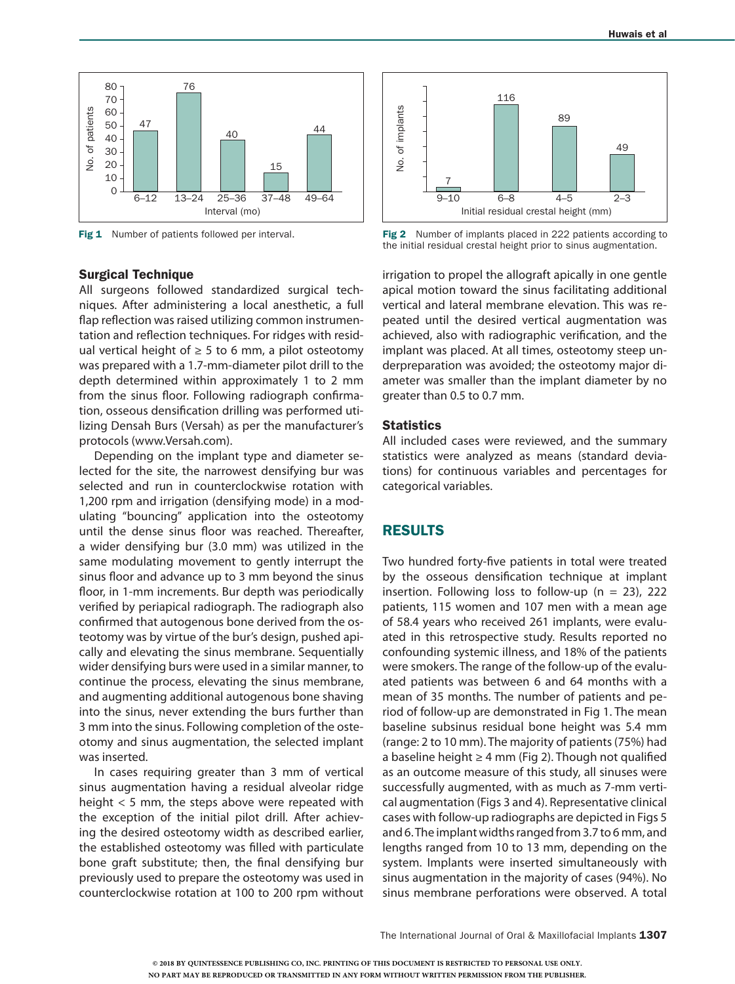

Fig 1 Number of patients followed per interval.

#### Surgical Technique

All surgeons followed standardized surgical techniques. After administering a local anesthetic, a full flap reflection was raised utilizing common instrumentation and reflection techniques. For ridges with residual vertical height of  $\geq$  5 to 6 mm, a pilot osteotomy was prepared with a 1.7-mm-diameter pilot drill to the depth determined within approximately 1 to 2 mm from the sinus floor. Following radiograph confirmation, osseous densification drilling was performed utilizing Densah Burs (Versah) as per the manufacturer's protocols (www.Versah.com).

Depending on the implant type and diameter selected for the site, the narrowest densifying bur was selected and run in counterclockwise rotation with 1,200 rpm and irrigation (densifying mode) in a modulating "bouncing" application into the osteotomy until the dense sinus floor was reached. Thereafter, a wider densifying bur (3.0 mm) was utilized in the same modulating movement to gently interrupt the sinus floor and advance up to 3 mm beyond the sinus floor, in 1-mm increments. Bur depth was periodically verified by periapical radiograph. The radiograph also confirmed that autogenous bone derived from the osteotomy was by virtue of the bur's design, pushed apically and elevating the sinus membrane. Sequentially wider densifying burs were used in a similar manner, to continue the process, elevating the sinus membrane, and augmenting additional autogenous bone shaving into the sinus, never extending the burs further than 3 mm into the sinus. Following completion of the osteotomy and sinus augmentation, the selected implant was inserted.

In cases requiring greater than 3 mm of vertical sinus augmentation having a residual alveolar ridge height < 5 mm, the steps above were repeated with the exception of the initial pilot drill. After achieving the desired osteotomy width as described earlier, the established osteotomy was filled with particulate bone graft substitute; then, the final densifying bur previously used to prepare the osteotomy was used in counterclockwise rotation at 100 to 200 rpm without



Fig 2 Number of implants placed in 222 patients according to the initial residual crestal height prior to sinus augmentation.

irrigation to propel the allograft apically in one gentle apical motion toward the sinus facilitating additional vertical and lateral membrane elevation. This was repeated until the desired vertical augmentation was achieved, also with radiographic verification, and the implant was placed. At all times, osteotomy steep underpreparation was avoided; the osteotomy major diameter was smaller than the implant diameter by no greater than 0.5 to 0.7 mm.

#### **Statistics**

All included cases were reviewed, and the summary statistics were analyzed as means (standard deviations) for continuous variables and percentages for categorical variables.

### RESULTS

Two hundred forty-five patients in total were treated by the osseous densification technique at implant insertion. Following loss to follow-up ( $n = 23$ ), 222 patients, 115 women and 107 men with a mean age of 58.4 years who received 261 implants, were evaluated in this retrospective study. Results reported no confounding systemic illness, and 18% of the patients were smokers. The range of the follow-up of the evaluated patients was between 6 and 64 months with a mean of 35 months. The number of patients and period of follow-up are demonstrated in Fig 1. The mean baseline subsinus residual bone height was 5.4 mm (range: 2 to 10 mm). The majority of patients (75%) had a baseline height  $\geq 4$  mm (Fig 2). Though not qualified as an outcome measure of this study, all sinuses were successfully augmented, with as much as 7-mm vertical augmentation (Figs 3 and 4). Representative clinical cases with follow-up radiographs are depicted in Figs 5 and 6. The implant widths ranged from 3.7 to 6 mm, and lengths ranged from 10 to 13 mm, depending on the system. Implants were inserted simultaneously with sinus augmentation in the majority of cases (94%). No sinus membrane perforations were observed. A total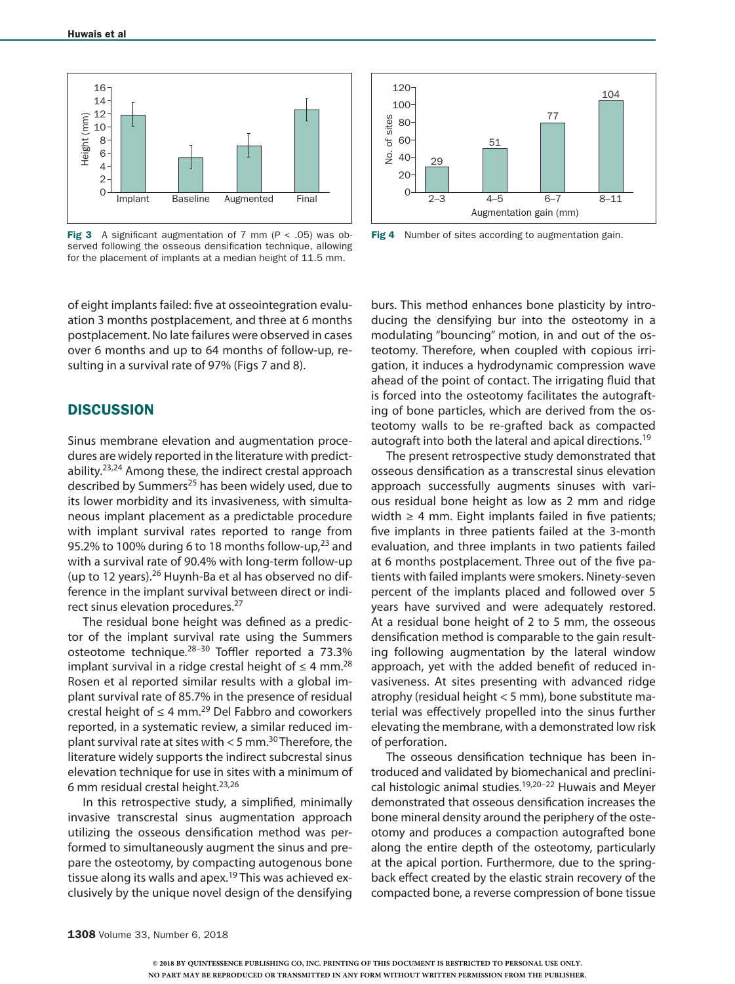

Fig 3 A significant augmentation of 7 mm (*P* < .05) was observed following the osseous densification technique, allowing for the placement of implants at a median height of 11.5 mm.

of eight implants failed: five at osseointegration evaluation 3 months postplacement, and three at 6 months postplacement. No late failures were observed in cases over 6 months and up to 64 months of follow-up, resulting in a survival rate of 97% (Figs 7 and 8).

#### **DISCUSSION**

Sinus membrane elevation and augmentation procedures are widely reported in the literature with predictability.<sup>23,24</sup> Among these, the indirect crestal approach described by Summers<sup>25</sup> has been widely used, due to its lower morbidity and its invasiveness, with simultaneous implant placement as a predictable procedure with implant survival rates reported to range from 95.2% to 100% during 6 to 18 months follow-up, $23$  and with a survival rate of 90.4% with long-term follow-up (up to 12 years).<sup>26</sup> Huynh-Ba et al has observed no difference in the implant survival between direct or indirect sinus elevation procedures.27

The residual bone height was defined as a predictor of the implant survival rate using the Summers osteotome technique.<sup>28-30</sup> Toffler reported a 73.3% implant survival in a ridge crestal height of  $\leq 4$  mm.<sup>28</sup> Rosen et al reported similar results with a global implant survival rate of 85.7% in the presence of residual crestal height of  $\leq 4$  mm.<sup>29</sup> Del Fabbro and coworkers reported, in a systematic review, a similar reduced implant survival rate at sites with  $<$  5 mm.<sup>30</sup> Therefore, the literature widely supports the indirect subcrestal sinus elevation technique for use in sites with a minimum of 6 mm residual crestal height.23,26

In this retrospective study, a simplified, minimally invasive transcrestal sinus augmentation approach utilizing the osseous densification method was performed to simultaneously augment the sinus and prepare the osteotomy, by compacting autogenous bone tissue along its walls and apex.<sup>19</sup> This was achieved exclusively by the unique novel design of the densifying



Fig 4 Number of sites according to augmentation gain.

burs. This method enhances bone plasticity by introducing the densifying bur into the osteotomy in a modulating "bouncing" motion, in and out of the osteotomy. Therefore, when coupled with copious irrigation, it induces a hydrodynamic compression wave ahead of the point of contact. The irrigating fluid that is forced into the osteotomy facilitates the autografting of bone particles, which are derived from the osteotomy walls to be re-grafted back as compacted autograft into both the lateral and apical directions.<sup>19</sup>

The present retrospective study demonstrated that osseous densification as a transcrestal sinus elevation approach successfully augments sinuses with various residual bone height as low as 2 mm and ridge width  $\geq 4$  mm. Eight implants failed in five patients; five implants in three patients failed at the 3-month evaluation, and three implants in two patients failed at 6 months postplacement. Three out of the five patients with failed implants were smokers. Ninety-seven percent of the implants placed and followed over 5 years have survived and were adequately restored. At a residual bone height of 2 to 5 mm, the osseous densification method is comparable to the gain resulting following augmentation by the lateral window approach, yet with the added benefit of reduced invasiveness. At sites presenting with advanced ridge atrophy (residual height < 5 mm), bone substitute material was effectively propelled into the sinus further elevating the membrane, with a demonstrated low risk of perforation.

The osseous densification technique has been introduced and validated by biomechanical and preclinical histologic animal studies.<sup>19,20-22</sup> Huwais and Meyer demonstrated that osseous densification increases the bone mineral density around the periphery of the osteotomy and produces a compaction autografted bone along the entire depth of the osteotomy, particularly at the apical portion. Furthermore, due to the springback effect created by the elastic strain recovery of the compacted bone, a reverse compression of bone tissue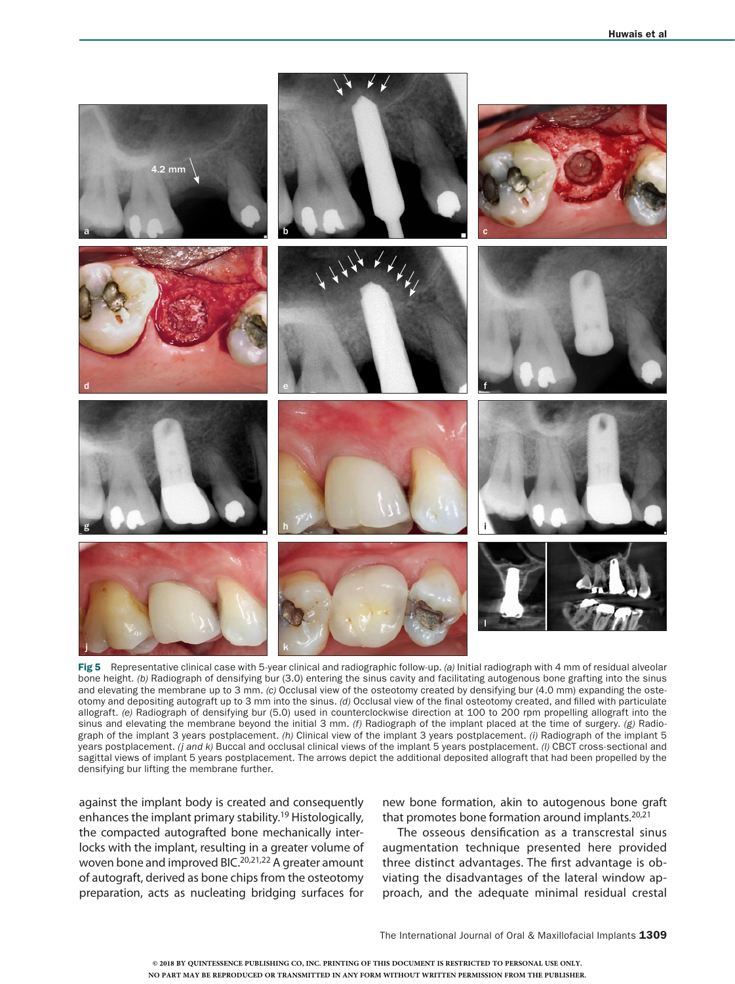

Fig 5 Representative clinical case with 5-year clinical and radiographic follow-up. *(a)* Initial radiograph with 4 mm of residual alveolar bone height. *(b)* Radiograph of densifying bur (3.0) entering the sinus cavity and facilitating autogenous bone grafting into the sinus and elevating the membrane up to 3 mm. *(c)* Occlusal view of the osteotomy created by densifying bur (4.0 mm) expanding the osteotomy and depositing autograft up to 3 mm into the sinus. *(d)* Occlusal view of the final osteotomy created, and filled with particulate allograft. *(e)* Radiograph of densifying bur (5.0) used in counterclockwise direction at 100 to 200 rpm propelling allograft into the sinus and elevating the membrane beyond the initial 3 mm. *(f)* Radiograph of the implant placed at the time of surgery. *(g)* Radiograph of the implant 3 years postplacement. *(h)* Clinical view of the implant 3 years postplacement. *(i)* Radiograph of the implant 5 years postplacement. *(j and k)* Buccal and occlusal clinical views of the implant 5 years postplacement. *(l)* CBCT cross-sectional and sagittal views of implant 5 years postplacement. The arrows depict the additional deposited allograft that had been propelled by the densifying bur lifting the membrane further.

against the implant body is created and consequently enhances the implant primary stability.19 Histologically, the compacted autografted bone mechanically interlocks with the implant, resulting in a greater volume of woven bone and improved BIC.<sup>20,21,22</sup> A greater amount of autograft, derived as bone chips from the osteotomy preparation, acts as nucleating bridging surfaces for new bone formation, akin to autogenous bone graft that promotes bone formation around implants.<sup>20,21</sup>

The osseous densification as a transcrestal sinus augmentation technique presented here provided three distinct advantages. The first advantage is obviating the disadvantages of the lateral window approach, and the adequate minimal residual crestal

The International Journal of Oral & Maxillofacial Implants 1309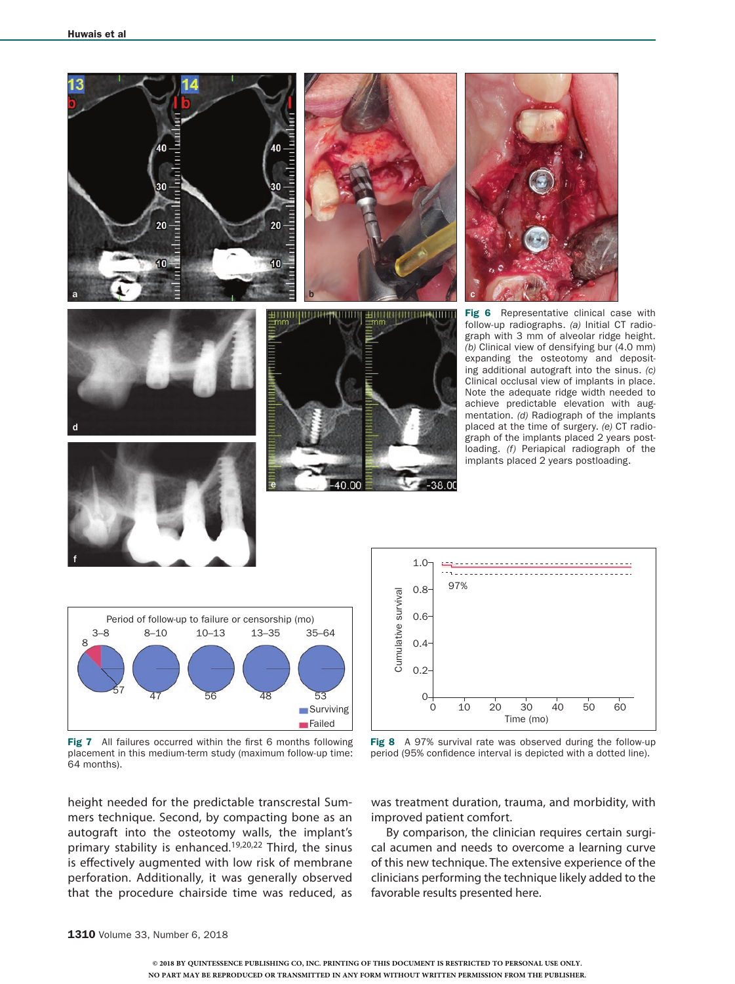



height needed for the predictable transcrestal Summers technique. Second, by compacting bone as an autograft into the osteotomy walls, the implant's primary stability is enhanced.<sup>19,20,22</sup> Third, the sinus is effectively augmented with low risk of membrane perforation. Additionally, it was generally observed that the procedure chairside time was reduced, as



was treatment duration, trauma, and morbidity, with improved patient comfort.

By comparison, the clinician requires certain surgical acumen and needs to overcome a learning curve of this new technique. The extensive experience of the clinicians performing the technique likely added to the favorable results presented here.

**Failed**